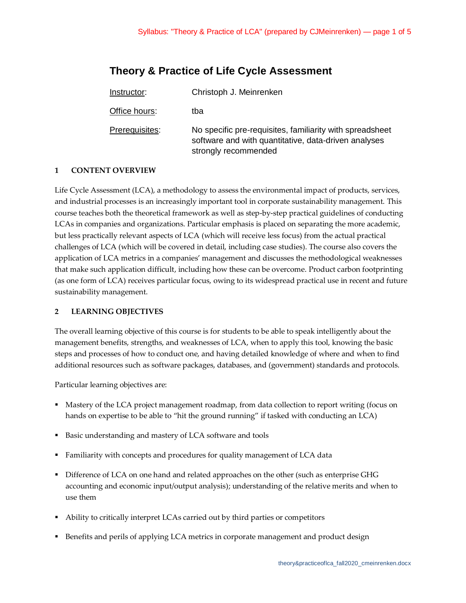# **Theory & Practice of Life Cycle Assessment**

| Instructor:    | Christoph J. Meinrenken                                                                                                                  |
|----------------|------------------------------------------------------------------------------------------------------------------------------------------|
| Office hours:  | tba                                                                                                                                      |
| Prerequisites: | No specific pre-requisites, familiarity with spreadsheet<br>software and with quantitative, data-driven analyses<br>strongly recommended |

## **1 CONTENT OVERVIEW**

Life Cycle Assessment (LCA), a methodology to assess the environmental impact of products, services, and industrial processes is an increasingly important tool in corporate sustainability management. This course teaches both the theoretical framework as well as step-by-step practical guidelines of conducting LCAs in companies and organizations. Particular emphasis is placed on separating the more academic, but less practically relevant aspects of LCA (which will receive less focus) from the actual practical challenges of LCA (which will be covered in detail, including case studies). The course also covers the application of LCA metrics in a companies' management and discusses the methodological weaknesses that make such application difficult, including how these can be overcome. Product carbon footprinting (as one form of LCA) receives particular focus, owing to its widespread practical use in recent and future sustainability management.

### **2 LEARNING OBJECTIVES**

The overall learning objective of this course is for students to be able to speak intelligently about the management benefits, strengths, and weaknesses of LCA, when to apply this tool, knowing the basic steps and processes of how to conduct one, and having detailed knowledge of where and when to find additional resources such as software packages, databases, and (government) standards and protocols.

Particular learning objectives are:

- **Mastery of the LCA project management roadmap, from data collection to report writing (focus on** hands on expertise to be able to "hit the ground running" if tasked with conducting an LCA)
- Basic understanding and mastery of LCA software and tools
- Familiarity with concepts and procedures for quality management of LCA data
- Difference of LCA on one hand and related approaches on the other (such as enterprise GHG accounting and economic input/output analysis); understanding of the relative merits and when to use them
- Ability to critically interpret LCAs carried out by third parties or competitors
- Benefits and perils of applying LCA metrics in corporate management and product design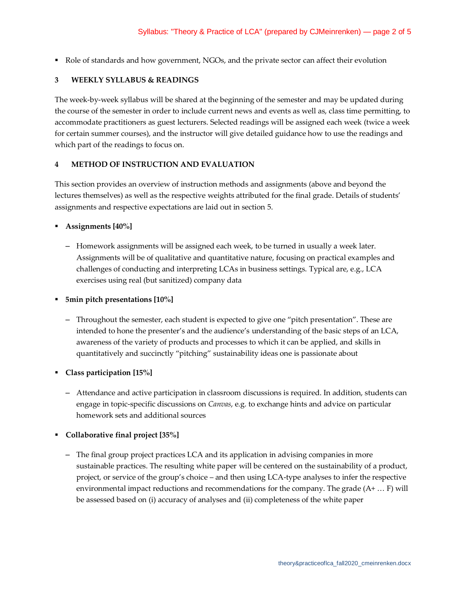• Role of standards and how government, NGOs, and the private sector can affect their evolution

#### **3 WEEKLY SYLLABUS & READINGS**

The week-by-week syllabus will be shared at the beginning of the semester and may be updated during the course of the semester in order to include current news and events as well as, class time permitting, to accommodate practitioners as guest lecturers. Selected readings will be assigned each week (twice a week for certain summer courses), and the instructor will give detailed guidance how to use the readings and which part of the readings to focus on.

#### **4 METHOD OF INSTRUCTION AND EVALUATION**

This section provides an overview of instruction methods and assignments (above and beyond the lectures themselves) as well as the respective weights attributed for the final grade. Details of students' assignments and respective expectations are laid out in section 5.

#### **Assignments [40%]**

– Homework assignments will be assigned each week, to be turned in usually a week later. Assignments will be of qualitative and quantitative nature, focusing on practical examples and challenges of conducting and interpreting LCAs in business settings. Typical are, e.g., LCA exercises using real (but sanitized) company data

**5min pitch presentations [10%]**

- Throughout the semester, each student is expected to give one "pitch presentation". These are intended to hone the presenter's and the audience's understanding of the basic steps of an LCA, awareness of the variety of products and processes to which it can be applied, and skills in quantitatively and succinctly "pitching" sustainability ideas one is passionate about
- **Class participation [15%]**
	- Attendance and active participation in classroom discussions is required. In addition, students can engage in topic-specific discussions on *Canvas*, e.g. to exchange hints and advice on particular homework sets and additional sources

#### **Collaborative final project [35%]**

– The final group project practices LCA and its application in advising companies in more sustainable practices. The resulting white paper will be centered on the sustainability of a product, project, or service of the group's choice – and then using LCA-type analyses to infer the respective environmental impact reductions and recommendations for the company. The grade (A+ … F) will be assessed based on (i) accuracy of analyses and (ii) completeness of the white paper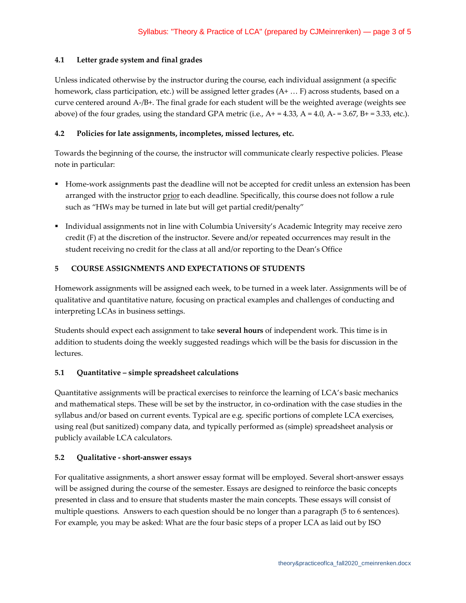#### **4.1 Letter grade system and final grades**

Unless indicated otherwise by the instructor during the course, each individual assignment (a specific homework, class participation, etc.) will be assigned letter grades (A+ ... F) across students, based on a curve centered around A-/B+. The final grade for each student will be the weighted average (weights see above) of the four grades, using the standard GPA metric (i.e.,  $A+ = 4.33$ ,  $A = 4.0$ ,  $A- = 3.67$ ,  $B+ = 3.33$ , etc.).

#### **4.2 Policies for late assignments, incompletes, missed lectures, etc.**

Towards the beginning of the course, the instructor will communicate clearly respective policies. Please note in particular:

- Home-work assignments past the deadline will not be accepted for credit unless an extension has been arranged with the instructor prior to each deadline. Specifically, this course does not follow a rule such as "HWs may be turned in late but will get partial credit/penalty"
- Individual assignments not in line with Columbia University's Academic Integrity may receive zero credit (F) at the discretion of the instructor. Severe and/or repeated occurrences may result in the student receiving no credit for the class at all and/or reporting to the Dean's Office

#### **5 COURSE ASSIGNMENTS AND EXPECTATIONS OF STUDENTS**

Homework assignments will be assigned each week, to be turned in a week later. Assignments will be of qualitative and quantitative nature, focusing on practical examples and challenges of conducting and interpreting LCAs in business settings.

Students should expect each assignment to take **several hours** of independent work. This time is in addition to students doing the weekly suggested readings which will be the basis for discussion in the lectures.

#### **5.1 Quantitative – simple spreadsheet calculations**

Quantitative assignments will be practical exercises to reinforce the learning of LCA's basic mechanics and mathematical steps. These will be set by the instructor, in co-ordination with the case studies in the syllabus and/or based on current events. Typical are e.g. specific portions of complete LCA exercises, using real (but sanitized) company data, and typically performed as (simple) spreadsheet analysis or publicly available LCA calculators.

#### **5.2 Qualitative - short-answer essays**

For qualitative assignments, a short answer essay format will be employed. Several short-answer essays will be assigned during the course of the semester. Essays are designed to reinforce the basic concepts presented in class and to ensure that students master the main concepts. These essays will consist of multiple questions. Answers to each question should be no longer than a paragraph (5 to 6 sentences). For example, you may be asked: What are the four basic steps of a proper LCA as laid out by ISO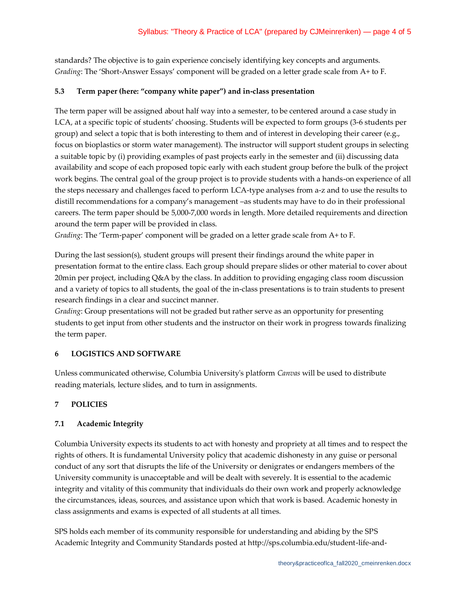standards? The objective is to gain experience concisely identifying key concepts and arguments. *Grading*: The 'Short-Answer Essays' component will be graded on a letter grade scale from A+ to F.

## **5.3 Term paper (here: "company white paper") and in-class presentation**

The term paper will be assigned about half way into a semester, to be centered around a case study in LCA, at a specific topic of students' choosing. Students will be expected to form groups (3-6 students per group) and select a topic that is both interesting to them and of interest in developing their career (e.g., focus on bioplastics or storm water management). The instructor will support student groups in selecting a suitable topic by (i) providing examples of past projects early in the semester and (ii) discussing data availability and scope of each proposed topic early with each student group before the bulk of the project work begins. The central goal of the group project is to provide students with a hands-on experience of all the steps necessary and challenges faced to perform LCA-type analyses from a-z and to use the results to distill recommendations for a company's management –as students may have to do in their professional careers. The term paper should be 5,000-7,000 words in length. More detailed requirements and direction around the term paper will be provided in class.

*Grading*: The 'Term-paper' component will be graded on a letter grade scale from A+ to F.

During the last session(s), student groups will present their findings around the white paper in presentation format to the entire class. Each group should prepare slides or other material to cover about 20min per project, including Q&A by the class. In addition to providing engaging class room discussion and a variety of topics to all students, the goal of the in-class presentations is to train students to present research findings in a clear and succinct manner.

*Grading*: Group presentations will not be graded but rather serve as an opportunity for presenting students to get input from other students and the instructor on their work in progress towards finalizing the term paper.

# **6 LOGISTICS AND SOFTWARE**

Unless communicated otherwise, Columbia University's platform *Canvas* will be used to distribute reading materials, lecture slides, and to turn in assignments.

# **7 POLICIES**

# **7.1 Academic Integrity**

Columbia University expects its students to act with honesty and propriety at all times and to respect the rights of others. It is fundamental University policy that academic dishonesty in any guise or personal conduct of any sort that disrupts the life of the University or denigrates or endangers members of the University community is unacceptable and will be dealt with severely. It is essential to the academic integrity and vitality of this community that individuals do their own work and properly acknowledge the circumstances, ideas, sources, and assistance upon which that work is based. Academic honesty in class assignments and exams is expected of all students at all times.

SPS holds each member of its community responsible for understanding and abiding by the SPS Academic Integrity and Community Standards posted at http://sps.columbia.edu/student-life-and